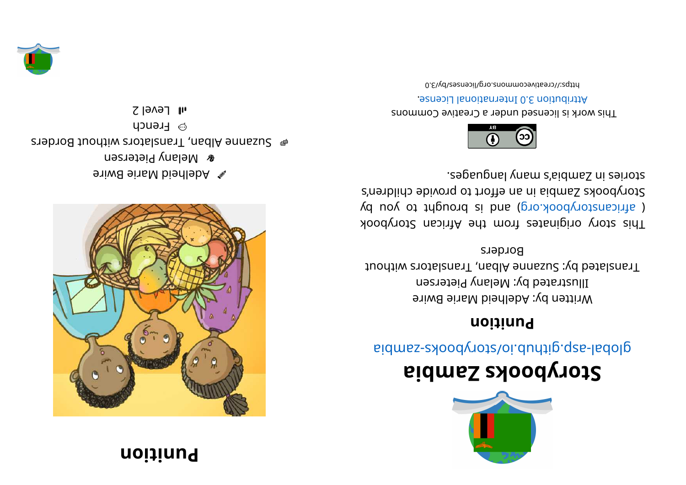## **noi**  $\mathbf{i}$  **i**  $\mathbf{u}$



**eximal ein ein prie Bwire & Melany Pietersen** steb of loads. Translators without Borders **Brench**  $I$ l | Fevel 2





# **ai b maZ skoobyr otS**

aidmss- abodynot sloi. during. q za bid

#### **noitinu9**

Written by: Adelheid Marie Bwire Illustrated by: Melany Pietersen Translated by: Suzanne Alban, Translators without **Borders** 

This story originates from the African Storybook ( africanstorybook.org) and is brought to you by Storybooks Zandia in an effort to provide children's segaugnal ynam s'sidmsS ni esiyote.



This work is licensed under a Creative Commons . esnecial lanoit anternational License.

0. E\vd\zesneoil\pro. anommons.ord. by C3-0.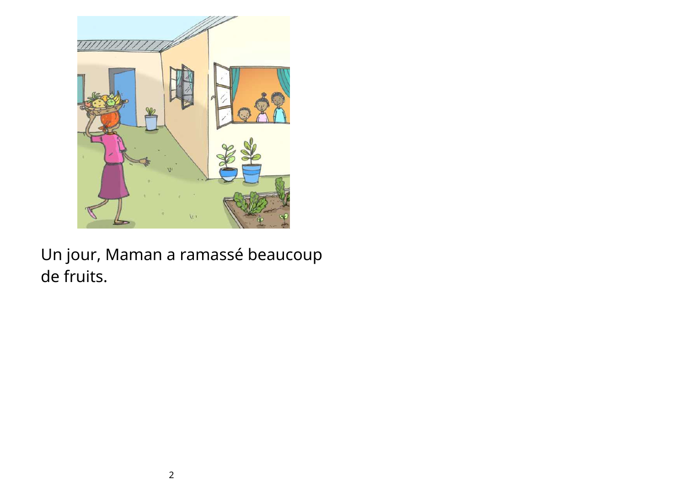

# Un jour, Maman a ramassé beaucoup de fruits.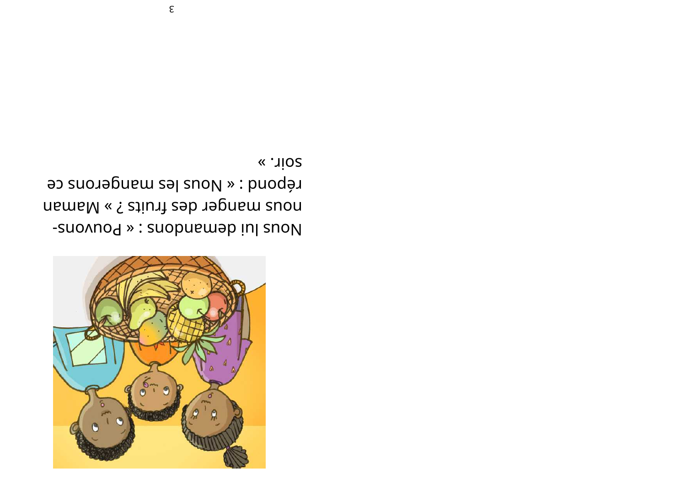

« . nioz répond : « Nous les mangerons ce nous manger des fruits ? » Maman Inj show in deway : « Pouvous -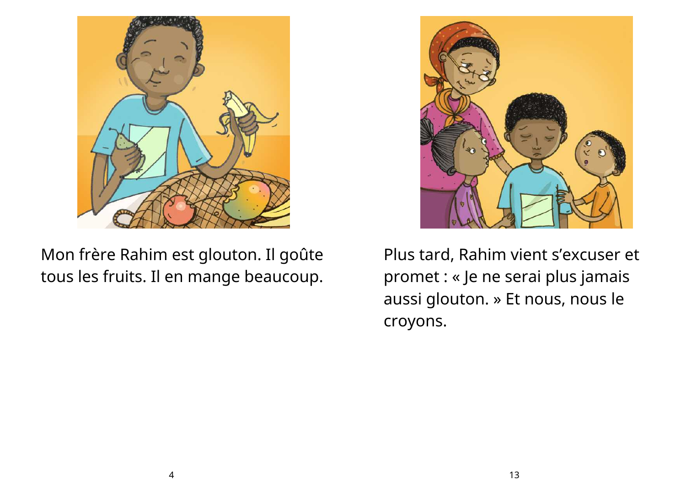

Mon frère Rahim est glouton. Il goûte tous les fruits. Il en mange beaucoup.



Plus tard, Rahim vient s'excuser et promet : « Je ne serai plus jamais aussi glouton. » Et nous, nous le croyons.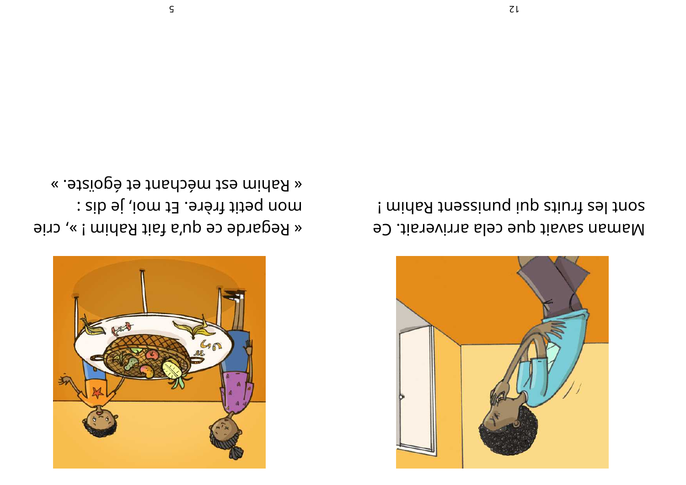

« .atziogé ta méchant et égoïste. » mon petit frère. Et moi, je dis : « Regarde ce qu'a fait Rahim ! », crie



sont les fruits qui punissent Rahim ! Maman savait que cela arriverait. Ce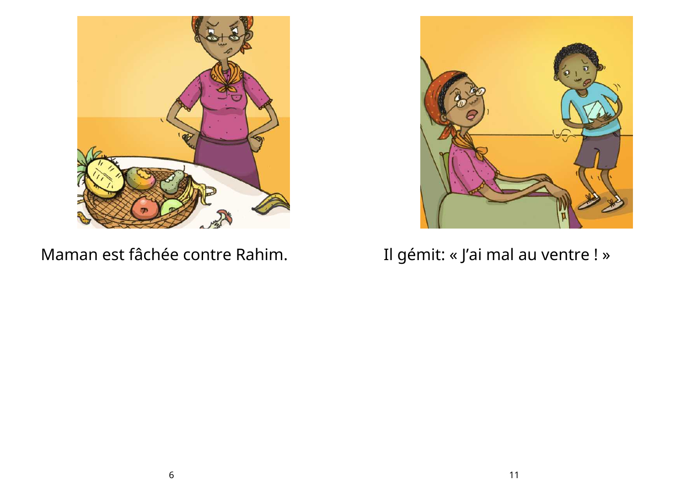

Maman est fâchée contre Rahim.



## Il gémit: « J'ai mal au ventre ! »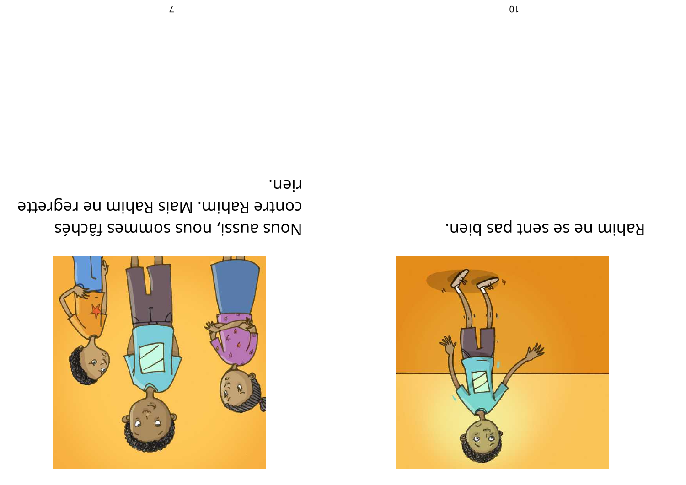

rien. contre Rahim. Mais Rahim ne regrette In the spuring spuring sport sports sports and the sports of the sports of the sports of the sports of the sports of the sports of the sports of the sports of the sports of the sports of the sports of the sports of the spo

![](_page_6_Picture_2.jpeg)

Rahim ne se sent pas bien.

 $\angle$